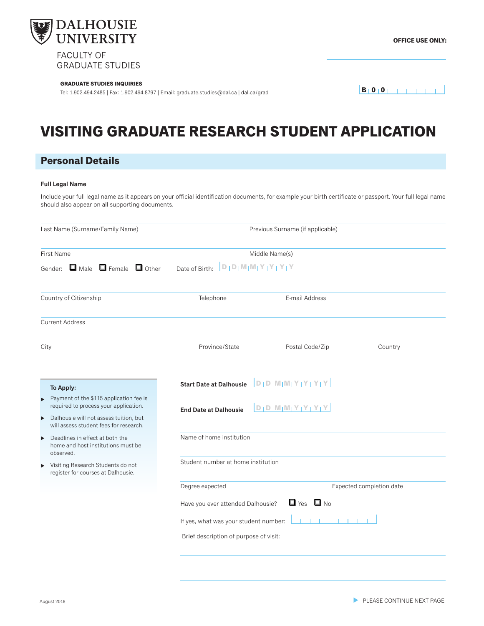

**GRADUATE STUDIES** 

#### **GRADUATE STUDIES INQUIRIES**

Tel: 1.902.494.2485 | Fax: 1.902.494.8797 | Email: graduate.studies@dal.ca | dal.ca/grad

## **VISITING GRADUATE RESEARCH STUDENT APPLICATION**

## **Personal Details**

#### **Full Legal Name**

Include your full legal name as it appears on your official identification documents, for example your birth certificate or passport. Your full legal name should also appear on all supporting documents.

| Last Name (Surname/Family Name)                                                                                                                          |                                                           | Previous Surname (if applicable)       |                          |  |  |  |  |  |  |  |
|----------------------------------------------------------------------------------------------------------------------------------------------------------|-----------------------------------------------------------|----------------------------------------|--------------------------|--|--|--|--|--|--|--|
| <b>First Name</b>                                                                                                                                        |                                                           | Middle Name(s)                         |                          |  |  |  |  |  |  |  |
| Gender: $\Box$ Male $\Box$ Female $\Box$ Other                                                                                                           | $D   D   M   M   Y   Y   Y   Y$<br>Date of Birth:         |                                        |                          |  |  |  |  |  |  |  |
| Country of Citizenship                                                                                                                                   | Telephone                                                 | E-mail Address                         |                          |  |  |  |  |  |  |  |
| <b>Current Address</b>                                                                                                                                   |                                                           |                                        |                          |  |  |  |  |  |  |  |
| City                                                                                                                                                     | Province/State                                            | Postal Code/Zip                        | Country                  |  |  |  |  |  |  |  |
| To Apply:                                                                                                                                                | <b>Start Date at Dalhousie</b>                            | $D/D  M M Y Y Y Y Y$                   |                          |  |  |  |  |  |  |  |
| Payment of the \$115 application fee is<br>$\blacktriangleright$<br>required to process your application.<br>Dalhousie will not assess tuition, but<br>▶ | <b>End Date at Dalhousie</b>                              | $D/D/M/M/Y_1Y_1Y_1Y_2$                 |                          |  |  |  |  |  |  |  |
| will assess student fees for research.                                                                                                                   |                                                           |                                        |                          |  |  |  |  |  |  |  |
| Deadlines in effect at both the<br>$\blacktriangleright$<br>home and host institutions must be<br>observed.                                              | Name of home institution                                  |                                        |                          |  |  |  |  |  |  |  |
| Visiting Research Students do not<br>▶<br>register for courses at Dalhousie.                                                                             | Student number at home institution                        |                                        |                          |  |  |  |  |  |  |  |
|                                                                                                                                                          | Degree expected                                           |                                        | Expected completion date |  |  |  |  |  |  |  |
|                                                                                                                                                          | $\Box$ Yes $\Box$ No<br>Have you ever attended Dalhousie? |                                        |                          |  |  |  |  |  |  |  |
|                                                                                                                                                          | If yes, what was your student number:                     |                                        |                          |  |  |  |  |  |  |  |
|                                                                                                                                                          |                                                           | Brief description of purpose of visit: |                          |  |  |  |  |  |  |  |
|                                                                                                                                                          |                                                           |                                        |                          |  |  |  |  |  |  |  |